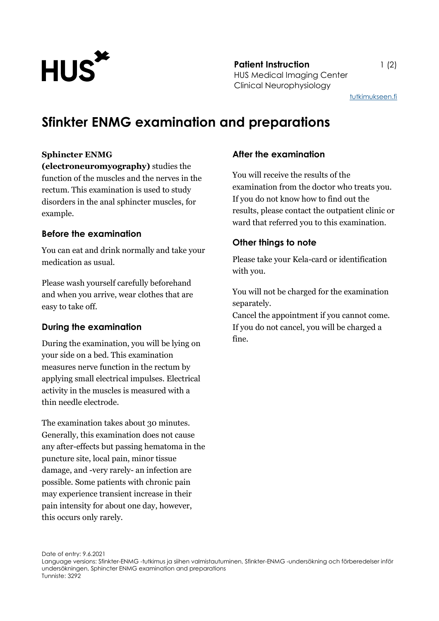

**Patient Instruction** 1 (2) HUS Medical Imaging Center Clinical Neurophysiology

[tutkimukseen.fi](http://www.tutkimukseen.fi/)

# **Sfinkter ENMG examination and preparations**

#### **Sphincter ENMG**

**(electroneuromyography)** studies the function of the muscles and the nerves in the rectum. This examination is used to study disorders in the anal sphincter muscles, for example.

#### **Before the examination**

You can eat and drink normally and take your medication as usual.

Please wash yourself carefully beforehand and when you arrive, wear clothes that are easy to take off.

#### **During the examination**

During the examination, you will be lying on your side on a bed. This examination measures nerve function in the rectum by applying small electrical impulses. Electrical activity in the muscles is measured with a thin needle electrode.

The examination takes about 30 minutes. Generally, this examination does not cause any after-effects but passing hematoma in the puncture site, local pain, minor tissue damage, and -very rarely- an infection are possible. Some patients with chronic pain may experience transient increase in their pain intensity for about one day, however, this occurs only rarely.

#### **After the examination**

You will receive the results of the examination from the doctor who treats you. If you do not know how to find out the results, please contact the outpatient clinic or ward that referred you to this examination.

### **Other things to note**

Please take your Kela-card or identification with you.

You will not be charged for the examination separately.

Cancel the appointment if you cannot come. If you do not cancel, you will be charged a fine.

Date of entry: 9.6.2021

Language versions: Sfinkter-ENMG -tutkimus ja siihen valmistautuminen, Sfinkter-ENMG -undersökning och förberedelser inför undersökningen, Sphincter ENMG examination and preparations Tunniste: 3292